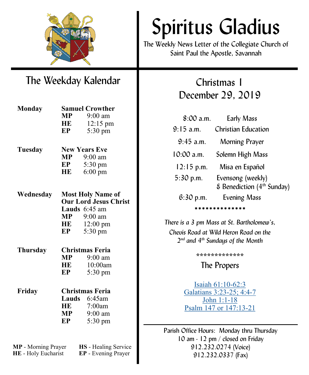

# Spiritus Gladius

The Weekly News Letter of the Collegiate Church of Saint Paul the Apostle, Savannah

## The Weekday Kalendar

| <b>Monday</b>   | <b>Samuel Crowther</b>       |                      |  |
|-----------------|------------------------------|----------------------|--|
|                 | $\bf{MP}$                    | $9:00$ am            |  |
|                 | HE                           | $12:15 \text{ pm}$   |  |
|                 | EP                           | 5:30 pm              |  |
| Tuesday         |                              | <b>New Years Eve</b> |  |
|                 |                              | $MP$ 9:00 am         |  |
|                 | EP                           | 5:30 pm              |  |
|                 | HE                           | $6:00 \text{ pm}$    |  |
|                 |                              |                      |  |
| Wednesday       | <b>Most Holy Name of</b>     |                      |  |
|                 | <b>Our Lord Jesus Christ</b> |                      |  |
|                 |                              | Lauds $6:45$ am      |  |
|                 | MP                           | 9:00 am              |  |
|                 | HE                           | $12:00 \text{ pm}$   |  |
|                 | EP                           | 5:30 pm              |  |
| <b>Thursday</b> | Christmas Feria              |                      |  |
|                 | <b>MP</b>                    | $9:00 \text{ am}$    |  |
|                 | HE                           | 10:00am              |  |
|                 | EP                           | 5:30 pm              |  |
| Friday          | <b>Christmas Feria</b>       |                      |  |
|                 |                              | Lauds 6:45am         |  |
|                 | <b>HE</b>                    | 7:00am               |  |
|                 |                              | $MP$ 9:00 am         |  |
|                 | EP                           | 5:30 pm              |  |
|                 |                              |                      |  |
|                 |                              |                      |  |

**MP** - Morning Prayer **HS** - Healing Service **HE** - Holy Eucharist **EP** - Evening Prayer

### Christmas 1 December 29, 2019

| $8:00$ a.m.   | <b>Early Mass</b>                                           |  |  |
|---------------|-------------------------------------------------------------|--|--|
| $9:15$ a.m.   | Christian Education                                         |  |  |
| $9:45$ a.m.   | Morning Prayer                                              |  |  |
| 10:00 a.m.    | Solemn High Mass                                            |  |  |
| $12:15$ p.m.  | Misa en Español                                             |  |  |
| 5:30 p.m.     | Evensong (weekly)<br>& Benediction (4 <sup>th</sup> Sunday) |  |  |
| $6:30$ p.m.   | <b>Evening Mass</b>                                         |  |  |
| ************* |                                                             |  |  |

*There is a 3 pm Mass at St. Bartholomew's, Chevis Road at Wild Heron Road on the 2 nd and 4th Sundays of the Month*

**\*\*\*\*\*\*\*\*\*\*\*\*\***

The Propers

[Isaiah 61:10](https://www.lectionarypage.net/YearABC/Christmas/Christmas1.html#Ot1)-62:3 [Galatians 3:23](https://www.lectionarypage.net/YearABC/Christmas/Christmas1.html#Nt1)-25; 4:4-7 [John 1:1](https://www.lectionarypage.net/YearABC/Christmas/Christmas1.html#Gsp1)-18 [Psalm 147 or 147:13](https://www.lectionarypage.net/YearABC/Christmas/Christmas1.html#Ps1)-21

Parish Office Hours: Monday thru Thursday 10 am - 12 pm / closed on Friday 912.232.0274 (Voice) 912.232.0337 (Fax)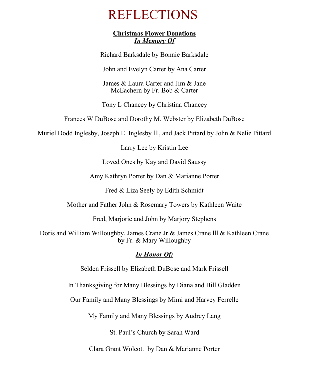## REFLECTIONS

#### **Christmas Flower Donations** *In Memory Of*

Richard Barksdale by Bonnie Barksdale

John and Evelyn Carter by Ana Carter

James & Laura Carter and Jim & Jane McEachern by Fr. Bob & Carter

Tony L Chancey by Christina Chancey

Frances W DuBose and Dorothy M. Webster by Elizabeth DuBose

Muriel Dodd Inglesby, Joseph E. Inglesby lll, and Jack Pittard by John & Nelie Pittard

Larry Lee by Kristin Lee

Loved Ones by Kay and David Saussy

Amy Kathryn Porter by Dan & Marianne Porter

Fred & Liza Seely by Edith Schmidt

Mother and Father John & Rosemary Towers by Kathleen Waite

Fred, Marjorie and John by Marjory Stephens

Doris and William Willoughby, James Crane Jr.& James Crane lll & Kathleen Crane by Fr. & Mary Willoughby

#### *In Honor Of:*

Selden Frissell by Elizabeth DuBose and Mark Frissell

In Thanksgiving for Many Blessings by Diana and Bill Gladden

Our Family and Many Blessings by Mimi and Harvey Ferrelle

My Family and Many Blessings by Audrey Lang

St. Paul's Church by Sarah Ward

Clara Grant Wolcott by Dan & Marianne Porter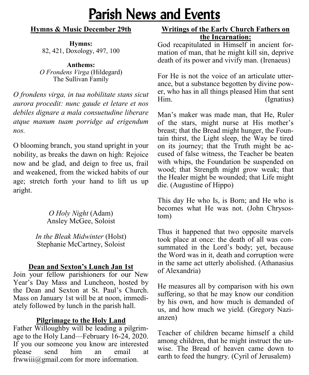# Parish News and Events

#### **Hymns & Music December 29th**

**Hymns:**  82, 421, Doxology, 497, 100

**Anthems:**  *O Frondens Virga* (Hildegard) The Sullivan Family

*O frondens virga, in tua nobilitate stans sicut aurora procedit: nunc gaude et letare et nos debiles dignare a mala consuetudine liberare atque manum tuam porridge ad erigendum nos.*

O blooming branch, you stand upright in your nobility, as breaks the dawn on high: Rejoice now and be glad, and deign to free us, frail and weakened, from the wicked habits of our age; stretch forth your hand to lift us up aright.

> *O Holy Night* (Adam) Ansley McGee, Soloist

*In the Bleak Midwinter* (Holst) Stephanie McCartney, Soloist

#### **Dean and Sexton's Lunch Jan 1st**

Join your fellow parishioners for our New Year's Day Mass and Luncheon, hosted by the Dean and Sexton at St. Paul's Church. Mass on January 1st will be at noon, immediately followed by lunch in the parish hall.

#### **Pilgrimage to the Holy Land**

Father Willoughby will be leading a pilgrimage to the Holy Land—February 16-24, 2020. If you our someone you know are interested please send him an email at frwwiii@gmail.com for more information.

#### **Writings of the Early Church Fathers on the Incarnation:**

God recapitulated in Himself in ancient formation of man, that he might kill sin, deprive death of its power and vivify man. (Irenaeus)

For He is not the voice of an articulate utterance, but a substance begotten by divine power, who has in all things pleased Him that sent Him. (Ignatius)

Man's maker was made man, that He, Ruler of the stars, might nurse at His mother's breast; that the Bread might hunger, the Fountain thirst, the Light sleep, the Way be tired on its journey; that the Truth might be accused of false witness, the Teacher be beaten with whips, the Foundation be suspended on wood; that Strength might grow weak; that the Healer might be wounded; that Life might die. (Augustine of Hippo)

This day He who Is, is Born; and He who is becomes what He was not. (John Chrysostom)

Thus it happened that two opposite marvels took place at once: the death of all was consummated in the Lord's body; yet, because the Word was in it, death and corruption were in the same act utterly abolished. (Athanasius of Alexandria)

He measures all by comparison with his own suffering, so that he may know our condition by his own, and how much is demanded of us, and how much we yield. (Gregory Nazianzen)

Teacher of children became himself a child among children, that he might instruct the unwise. The Bread of heaven came down to earth to feed the hungry. (Cyril of Jerusalem)